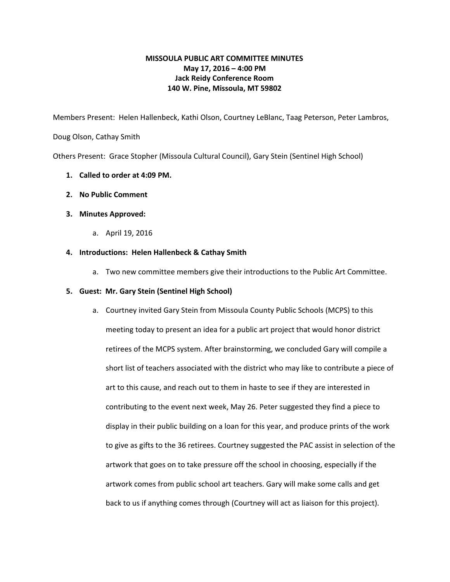# **MISSOULA PUBLIC ART COMMITTEE MINUTES May 17, 2016 – 4:00 PM Jack Reidy Conference Room 140 W. Pine, Missoula, MT 59802**

Members Present: Helen Hallenbeck, Kathi Olson, Courtney LeBlanc, Taag Peterson, Peter Lambros,

Doug Olson, Cathay Smith

Others Present: Grace Stopher (Missoula Cultural Council), Gary Stein (Sentinel High School)

- **1. Called to order at 4:09 PM.**
- **2. No Public Comment**
- **3. Minutes Approved:**
	- a. April 19, 2016

# **4. Introductions: Helen Hallenbeck & Cathay Smith**

a. Two new committee members give their introductions to the Public Art Committee.

# **5. Guest: Mr. Gary Stein (Sentinel High School)**

a. Courtney invited Gary Stein from Missoula County Public Schools (MCPS) to this meeting today to present an idea for a public art project that would honor district retirees of the MCPS system. After brainstorming, we concluded Gary will compile a short list of teachers associated with the district who may like to contribute a piece of art to this cause, and reach out to them in haste to see if they are interested in contributing to the event next week, May 26. Peter suggested they find a piece to display in their public building on a loan for this year, and produce prints of the work to give as gifts to the 36 retirees. Courtney suggested the PAC assist in selection of the artwork that goes on to take pressure off the school in choosing, especially if the artwork comes from public school art teachers. Gary will make some calls and get back to us if anything comes through (Courtney will act as liaison for this project).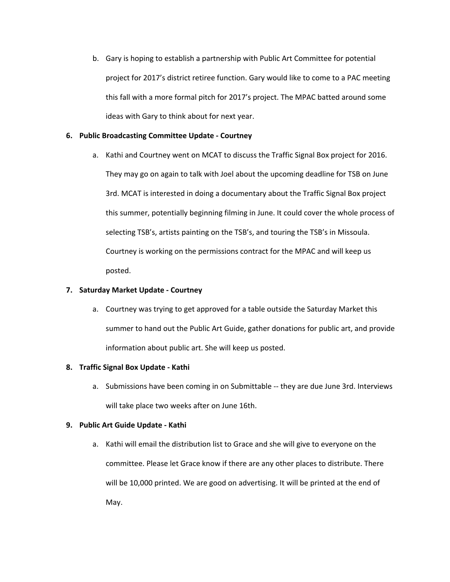b. Gary is hoping to establish a partnership with Public Art Committee for potential project for 2017's district retiree function. Gary would like to come to a PAC meeting this fall with a more formal pitch for 2017's project. The MPAC batted around some ideas with Gary to think about for next year.

# **6. Public Broadcasting Committee Update Courtney**

a. Kathi and Courtney went on MCAT to discuss the Traffic Signal Box project for 2016. They may go on again to talk with Joel about the upcoming deadline for TSB on June 3rd. MCAT is interested in doing a documentary about the Traffic Signal Box project this summer, potentially beginning filming in June. It could cover the whole process of selecting TSB's, artists painting on the TSB's, and touring the TSB's in Missoula. Courtney is working on the permissions contract for the MPAC and will keep us posted.

### **7. Saturday Market Update Courtney**

a. Courtney was trying to get approved for a table outside the Saturday Market this summer to hand out the Public Art Guide, gather donations for public art, and provide information about public art. She will keep us posted.

#### **8. Traffic Signal Box Update Kathi**

a. Submissions have been coming in on Submittable -- they are due June 3rd. Interviews will take place two weeks after on June 16th.

# **9. Public Art Guide Update Kathi**

a. Kathi will email the distribution list to Grace and she will give to everyone on the committee. Please let Grace know if there are any other places to distribute. There will be 10,000 printed. We are good on advertising. It will be printed at the end of May.